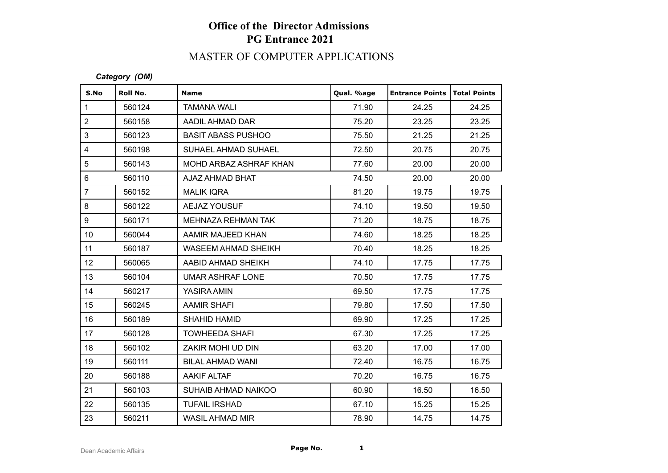# **Office of the Director Admissions PG Entrance 2021**

## MASTER OF COMPUTER APPLICATIONS

#### *Category (OM)*

| S.No            | Roll No. | <b>Name</b>               | Qual. %age | <b>Entrance Points</b> | Total Points |
|-----------------|----------|---------------------------|------------|------------------------|--------------|
| $\mathbf{1}$    | 560124   | <b>TAMANA WALI</b>        | 71.90      | 24.25                  | 24.25        |
| $\overline{2}$  | 560158   | AADIL AHMAD DAR           | 75.20      | 23.25                  | 23.25        |
| 3               | 560123   | <b>BASIT ABASS PUSHOO</b> | 75.50      | 21.25                  | 21.25        |
| $\overline{4}$  | 560198   | SUHAEL AHMAD SUHAEL       | 72.50      | 20.75                  | 20.75        |
| 5               | 560143   | MOHD ARBAZ ASHRAF KHAN    | 77.60      | 20.00                  | 20.00        |
| $6\phantom{1}$  | 560110   | AJAZ AHMAD BHAT           | 74.50      | 20.00                  | 20.00        |
| $\overline{7}$  | 560152   | <b>MALIK IQRA</b>         | 81.20      | 19.75                  | 19.75        |
| 8               | 560122   | <b>AEJAZ YOUSUF</b>       | 74.10      | 19.50                  | 19.50        |
| 9               | 560171   | MEHNAZA REHMAN TAK        | 71.20      | 18.75                  | 18.75        |
| 10 <sup>1</sup> | 560044   | AAMIR MAJEED KHAN         | 74.60      | 18.25                  | 18.25        |
| 11              | 560187   | WASEEM AHMAD SHEIKH       | 70.40      | 18.25                  | 18.25        |
| 12 <sub>2</sub> | 560065   | AABID AHMAD SHEIKH        | 74.10      | 17.75                  | 17.75        |
| 13              | 560104   | UMAR ASHRAF LONE          | 70.50      | 17.75                  | 17.75        |
| 14              | 560217   | YASIRA AMIN               | 69.50      | 17.75                  | 17.75        |
| 15              | 560245   | <b>AAMIR SHAFI</b>        | 79.80      | 17.50                  | 17.50        |
| 16              | 560189   | <b>SHAHID HAMID</b>       | 69.90      | 17.25                  | 17.25        |
| 17              | 560128   | <b>TOWHEEDA SHAFI</b>     | 67.30      | 17.25                  | 17.25        |
| 18              | 560102   | ZAKIR MOHI UD DIN         | 63.20      | 17.00                  | 17.00        |
| 19              | 560111   | <b>BILAL AHMAD WANI</b>   | 72.40      | 16.75                  | 16.75        |
| 20              | 560188   | <b>AAKIF ALTAF</b>        | 70.20      | 16.75                  | 16.75        |
| 21              | 560103   | SUHAIB AHMAD NAIKOO       | 60.90      | 16.50                  | 16.50        |
| 22              | 560135   | <b>TUFAIL IRSHAD</b>      | 67.10      | 15.25                  | 15.25        |
| 23              | 560211   | <b>WASIL AHMAD MIR</b>    | 78.90      | 14.75                  | 14.75        |